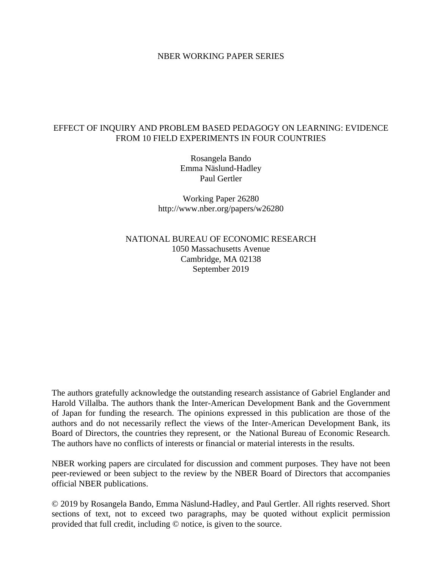## NBER WORKING PAPER SERIES

## EFFECT OF INQUIRY AND PROBLEM BASED PEDAGOGY ON LEARNING: EVIDENCE FROM 10 FIELD EXPERIMENTS IN FOUR COUNTRIES

Rosangela Bando Emma Näslund-Hadley Paul Gertler

Working Paper 26280 http://www.nber.org/papers/w26280

NATIONAL BUREAU OF ECONOMIC RESEARCH 1050 Massachusetts Avenue Cambridge, MA 02138 September 2019

The authors gratefully acknowledge the outstanding research assistance of Gabriel Englander and Harold Villalba. The authors thank the Inter-American Development Bank and the Government of Japan for funding the research. The opinions expressed in this publication are those of the authors and do not necessarily reflect the views of the Inter-American Development Bank, its Board of Directors, the countries they represent, or the National Bureau of Economic Research. The authors have no conflicts of interests or financial or material interests in the results.

NBER working papers are circulated for discussion and comment purposes. They have not been peer-reviewed or been subject to the review by the NBER Board of Directors that accompanies official NBER publications.

© 2019 by Rosangela Bando, Emma Näslund-Hadley, and Paul Gertler. All rights reserved. Short sections of text, not to exceed two paragraphs, may be quoted without explicit permission provided that full credit, including © notice, is given to the source.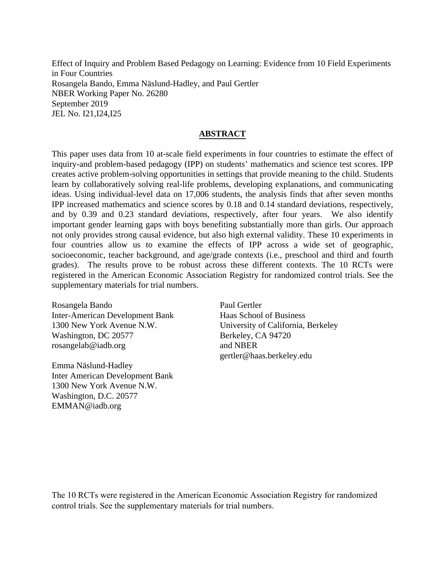Effect of Inquiry and Problem Based Pedagogy on Learning: Evidence from 10 Field Experiments in Four Countries Rosangela Bando, Emma Näslund-Hadley, and Paul Gertler NBER Working Paper No. 26280 September 2019 JEL No. I21,I24,I25

## **ABSTRACT**

This paper uses data from 10 at-scale field experiments in four countries to estimate the effect of inquiry-and problem-based pedagogy (IPP) on students' mathematics and science test scores. IPP creates active problem-solving opportunities in settings that provide meaning to the child. Students learn by collaboratively solving real-life problems, developing explanations, and communicating ideas. Using individual-level data on 17,006 students, the analysis finds that after seven months IPP increased mathematics and science scores by 0.18 and 0.14 standard deviations, respectively, and by 0.39 and 0.23 standard deviations, respectively, after four years. We also identify important gender learning gaps with boys benefiting substantially more than girls. Our approach not only provides strong causal evidence, but also high external validity. These 10 experiments in four countries allow us to examine the effects of IPP across a wide set of geographic, socioeconomic, teacher background, and age/grade contexts (i.e., preschool and third and fourth grades). The results prove to be robust across these different contexts. The 10 RCTs were registered in the American Economic Association Registry for randomized control trials. See the supplementary materials for trial numbers.

Rosangela Bando Inter-American Development Bank 1300 New York Avenue N.W. Washington, DC 20577 rosangelab@iadb.org

Emma Näslund-Hadley Inter American Development Bank 1300 New York Avenue N.W. Washington, D.C. 20577 EMMAN@iadb.org

Paul Gertler Haas School of Business University of California, Berkeley Berkeley, CA 94720 and NBER gertler@haas.berkeley.edu

The 10 RCTs were registered in the American Economic Association Registry for randomized control trials. See the supplementary materials for trial numbers.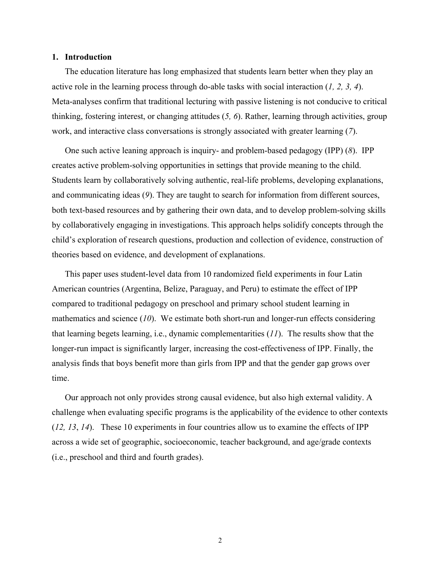#### **1. Introduction**

The education literature has long emphasized that students learn better when they play an active role in the learning process through do-able tasks with social interaction (*1, 2, 3, 4*). Meta-analyses confirm that traditional lecturing with passive listening is not conducive to critical thinking, fostering interest, or changing attitudes (*5, 6*). Rather, learning through activities, group work, and interactive class conversations is strongly associated with greater learning (*7*).

One such active leaning approach is inquiry- and problem-based pedagogy (IPP) (*8*). IPP creates active problem-solving opportunities in settings that provide meaning to the child. Students learn by collaboratively solving authentic, real-life problems, developing explanations, and communicating ideas (*9*). They are taught to search for information from different sources, both text-based resources and by gathering their own data, and to develop problem-solving skills by collaboratively engaging in investigations. This approach helps solidify concepts through the child's exploration of research questions, production and collection of evidence, construction of theories based on evidence, and development of explanations.

This paper uses student-level data from 10 randomized field experiments in four Latin American countries (Argentina, Belize, Paraguay, and Peru) to estimate the effect of IPP compared to traditional pedagogy on preschool and primary school student learning in mathematics and science (*10*). We estimate both short-run and longer-run effects considering that learning begets learning, i.e., dynamic complementarities (*11*). The results show that the longer-run impact is significantly larger, increasing the cost-effectiveness of IPP. Finally, the analysis finds that boys benefit more than girls from IPP and that the gender gap grows over time.

Our approach not only provides strong causal evidence, but also high external validity. A challenge when evaluating specific programs is the applicability of the evidence to other contexts (*12, 13*, *14*). These 10 experiments in four countries allow us to examine the effects of IPP across a wide set of geographic, socioeconomic, teacher background, and age/grade contexts (i.e., preschool and third and fourth grades).

2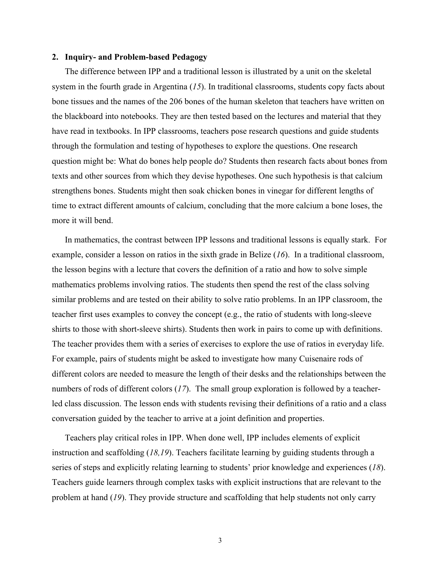#### **2. Inquiry- and Problem-based Pedagogy**

The difference between IPP and a traditional lesson is illustrated by a unit on the skeletal system in the fourth grade in Argentina (*15*). In traditional classrooms, students copy facts about bone tissues and the names of the 206 bones of the human skeleton that teachers have written on the blackboard into notebooks. They are then tested based on the lectures and material that they have read in textbooks. In IPP classrooms, teachers pose research questions and guide students through the formulation and testing of hypotheses to explore the questions. One research question might be: What do bones help people do? Students then research facts about bones from texts and other sources from which they devise hypotheses. One such hypothesis is that calcium strengthens bones. Students might then soak chicken bones in vinegar for different lengths of time to extract different amounts of calcium, concluding that the more calcium a bone loses, the more it will bend.

In mathematics, the contrast between IPP lessons and traditional lessons is equally stark. For example, consider a lesson on ratios in the sixth grade in Belize (*16*). In a traditional classroom, the lesson begins with a lecture that covers the definition of a ratio and how to solve simple mathematics problems involving ratios. The students then spend the rest of the class solving similar problems and are tested on their ability to solve ratio problems. In an IPP classroom, the teacher first uses examples to convey the concept (e.g., the ratio of students with long-sleeve shirts to those with short-sleeve shirts). Students then work in pairs to come up with definitions. The teacher provides them with a series of exercises to explore the use of ratios in everyday life. For example, pairs of students might be asked to investigate how many Cuisenaire rods of different colors are needed to measure the length of their desks and the relationships between the numbers of rods of different colors (*17*). The small group exploration is followed by a teacherled class discussion. The lesson ends with students revising their definitions of a ratio and a class conversation guided by the teacher to arrive at a joint definition and properties.

Teachers play critical roles in IPP. When done well, IPP includes elements of explicit instruction and scaffolding (*18,19*). Teachers facilitate learning by guiding students through a series of steps and explicitly relating learning to students' prior knowledge and experiences (*18*). Teachers guide learners through complex tasks with explicit instructions that are relevant to the problem at hand (*19*). They provide structure and scaffolding that help students not only carry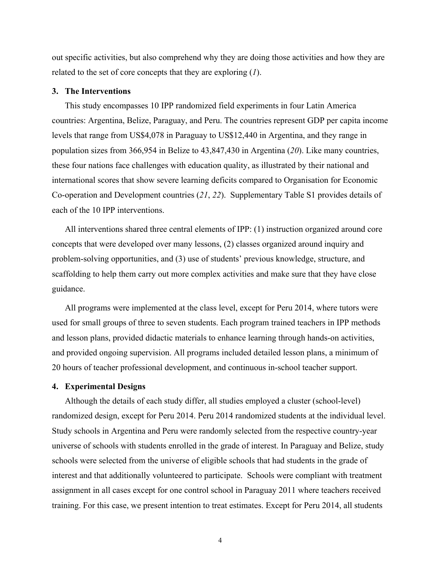out specific activities, but also comprehend why they are doing those activities and how they are related to the set of core concepts that they are exploring (*1*).

#### **3. The Interventions**

This study encompasses 10 IPP randomized field experiments in four Latin America countries: Argentina, Belize, Paraguay, and Peru. The countries represent GDP per capita income levels that range from US\$4,078 in Paraguay to US\$12,440 in Argentina, and they range in population sizes from 366,954 in Belize to 43,847,430 in Argentina (*20*). Like many countries, these four nations face challenges with education quality, as illustrated by their national and international scores that show severe learning deficits compared to Organisation for Economic Co-operation and Development countries (*21*, *22*). Supplementary Table S1 provides details of each of the 10 IPP interventions.

All interventions shared three central elements of IPP: (1) instruction organized around core concepts that were developed over many lessons, (2) classes organized around inquiry and problem-solving opportunities, and (3) use of students' previous knowledge, structure, and scaffolding to help them carry out more complex activities and make sure that they have close guidance.

All programs were implemented at the class level, except for Peru 2014, where tutors were used for small groups of three to seven students. Each program trained teachers in IPP methods and lesson plans, provided didactic materials to enhance learning through hands-on activities, and provided ongoing supervision. All programs included detailed lesson plans, a minimum of 20 hours of teacher professional development, and continuous in-school teacher support.

#### **4. Experimental Designs**

Although the details of each study differ, all studies employed a cluster (school-level) randomized design, except for Peru 2014. Peru 2014 randomized students at the individual level. Study schools in Argentina and Peru were randomly selected from the respective country-year universe of schools with students enrolled in the grade of interest. In Paraguay and Belize, study schools were selected from the universe of eligible schools that had students in the grade of interest and that additionally volunteered to participate. Schools were compliant with treatment assignment in all cases except for one control school in Paraguay 2011 where teachers received training. For this case, we present intention to treat estimates. Except for Peru 2014, all students

4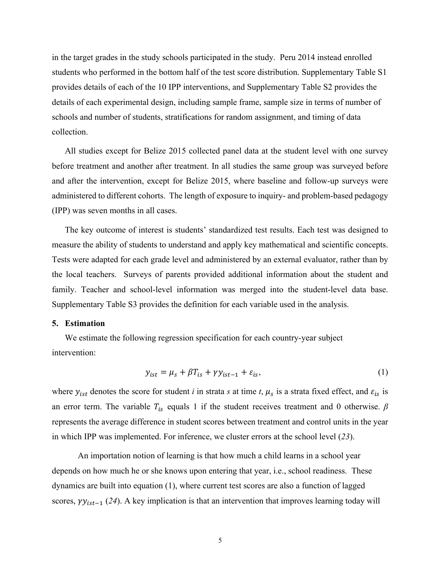in the target grades in the study schools participated in the study. Peru 2014 instead enrolled students who performed in the bottom half of the test score distribution. Supplementary Table S1 provides details of each of the 10 IPP interventions, and Supplementary Table S2 provides the details of each experimental design, including sample frame, sample size in terms of number of schools and number of students, stratifications for random assignment, and timing of data collection.

All studies except for Belize 2015 collected panel data at the student level with one survey before treatment and another after treatment. In all studies the same group was surveyed before and after the intervention, except for Belize 2015, where baseline and follow-up surveys were administered to different cohorts. The length of exposure to inquiry- and problem-based pedagogy (IPP) was seven months in all cases.

The key outcome of interest is students' standardized test results. Each test was designed to measure the ability of students to understand and apply key mathematical and scientific concepts. Tests were adapted for each grade level and administered by an external evaluator, rather than by the local teachers. Surveys of parents provided additional information about the student and family. Teacher and school-level information was merged into the student-level data base. Supplementary Table S3 provides the definition for each variable used in the analysis.

## **5. Estimation**

We estimate the following regression specification for each country-year subject intervention:

$$
y_{ist} = \mu_s + \beta T_{is} + \gamma y_{ist-1} + \varepsilon_{is},\tag{1}
$$

where  $y_{ist}$  denotes the score for student *i* in strata *s* at time *t*,  $\mu_s$  is a strata fixed effect, and  $\varepsilon_{is}$  is an error term. The variable  $T_{is}$  equals 1 if the student receives treatment and 0 otherwise.  $\beta$ represents the average difference in student scores between treatment and control units in the year in which IPP was implemented. For inference, we cluster errors at the school level (*23*).

An importation notion of learning is that how much a child learns in a school year depends on how much he or she knows upon entering that year, i.e., school readiness. These dynamics are built into equation (1), where current test scores are also a function of lagged scores,  $\gamma y_{ist-1}$  (24). A key implication is that an intervention that improves learning today will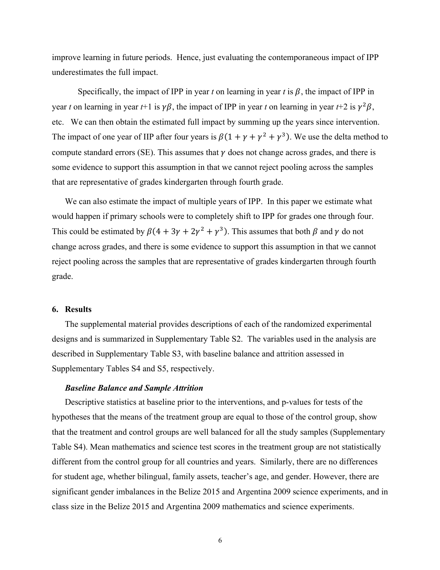improve learning in future periods. Hence, just evaluating the contemporaneous impact of IPP underestimates the full impact.

Specifically, the impact of IPP in year *t* on learning in year *t* is  $\beta$ , the impact of IPP in year *t* on learning in year *t*+1 is  $\gamma\beta$ , the impact of IPP in year *t* on learning in year *t*+2 is  $\gamma^2\beta$ , etc. We can then obtain the estimated full impact by summing up the years since intervention. The impact of one year of IIP after four years is  $\beta(1 + \gamma + \gamma^2 + \gamma^3)$ . We use the delta method to compute standard errors (SE). This assumes that  $\gamma$  does not change across grades, and there is some evidence to support this assumption in that we cannot reject pooling across the samples that are representative of grades kindergarten through fourth grade.

We can also estimate the impact of multiple years of IPP. In this paper we estimate what would happen if primary schools were to completely shift to IPP for grades one through four. This could be estimated by  $\beta(4 + 3\gamma + 2\gamma^2 + \gamma^3)$ . This assumes that both  $\beta$  and  $\gamma$  do not change across grades, and there is some evidence to support this assumption in that we cannot reject pooling across the samples that are representative of grades kindergarten through fourth grade.

## **6. Results**

The supplemental material provides descriptions of each of the randomized experimental designs and is summarized in Supplementary Table S2. The variables used in the analysis are described in Supplementary Table S3, with baseline balance and attrition assessed in Supplementary Tables S4 and S5, respectively.

#### *Baseline Balance and Sample Attrition*

Descriptive statistics at baseline prior to the interventions, and p-values for tests of the hypotheses that the means of the treatment group are equal to those of the control group, show that the treatment and control groups are well balanced for all the study samples (Supplementary Table S4). Mean mathematics and science test scores in the treatment group are not statistically different from the control group for all countries and years. Similarly, there are no differences for student age, whether bilingual, family assets, teacher's age, and gender. However, there are significant gender imbalances in the Belize 2015 and Argentina 2009 science experiments, and in class size in the Belize 2015 and Argentina 2009 mathematics and science experiments.

6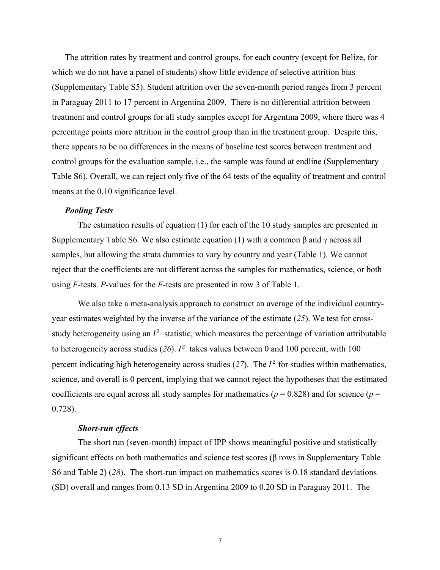The attrition rates by treatment and control groups, for each country (except for Belize, for which we do not have a panel of students) show little evidence of selective attrition bias (Supplementary Table S5). Student attrition over the seven-month period ranges from 3 percent in Paraguay 2011 to 17 percent in Argentina 2009. There is no differential attrition between treatment and control groups for all study samples except for Argentina 2009, where there was 4 percentage points more attrition in the control group than in the treatment group. Despite this, there appears to be no differences in the means of baseline test scores between treatment and control groups for the evaluation sample, i.e., the sample was found at endline (Supplementary Table S6). Overall, we can reject only five of the 64 tests of the equality of treatment and control means at the 0.10 significance level.

#### *Pooling Tests*

The estimation results of equation (1) for each of the 10 study samples are presented in Supplementary Table S6. We also estimate equation (1) with a common β and γ across all samples, but allowing the strata dummies to vary by country and year (Table 1). We cannot reject that the coefficients are not different across the samples for mathematics, science, or both using *F*-tests. *P*-values for the *F*-tests are presented in row 3 of Table 1.

We also take a meta-analysis approach to construct an average of the individual countryyear estimates weighted by the inverse of the variance of the estimate (*25*). We test for crossstudy heterogeneity using an  $I^2$  statistic, which measures the percentage of variation attributable to heterogeneity across studies  $(26)$ .  $I^2$  takes values between 0 and 100 percent, with 100 percent indicating high heterogeneity across studies  $(27)$ . The  $I<sup>2</sup>$  for studies within mathematics, science, and overall is 0 percent, implying that we cannot reject the hypotheses that the estimated coefficients are equal across all study samples for mathematics ( $p = 0.828$ ) and for science ( $p =$ 0.728).

## *Short-run effects*

The short run (seven-month) impact of IPP shows meaningful positive and statistically significant effects on both mathematics and science test scores ( $\beta$  rows in Supplementary Table S6 and Table 2) (*28*). The short-run impact on mathematics scores is 0.18 standard deviations (SD) overall and ranges from 0.13 SD in Argentina 2009 to 0.20 SD in Paraguay 2011. The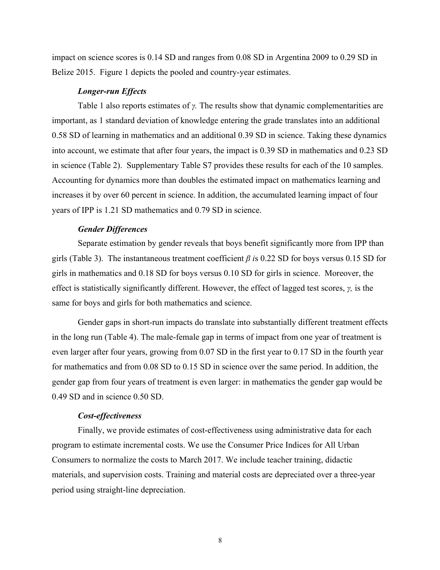impact on science scores is 0.14 SD and ranges from 0.08 SD in Argentina 2009 to 0.29 SD in Belize 2015. Figure 1 depicts the pooled and country-year estimates.

#### *Longer-run Effects*

Table 1 also reports estimates of *γ.* The results show that dynamic complementarities are important, as 1 standard deviation of knowledge entering the grade translates into an additional 0.58 SD of learning in mathematics and an additional 0.39 SD in science. Taking these dynamics into account, we estimate that after four years, the impact is 0.39 SD in mathematics and 0.23 SD in science (Table 2). Supplementary Table S7 provides these results for each of the 10 samples. Accounting for dynamics more than doubles the estimated impact on mathematics learning and increases it by over 60 percent in science. In addition, the accumulated learning impact of four years of IPP is 1.21 SD mathematics and 0.79 SD in science.

### *Gender Differences*

Separate estimation by gender reveals that boys benefit significantly more from IPP than girls (Table 3). The instantaneous treatment coefficient *β i*s 0.22 SD for boys versus 0.15 SD for girls in mathematics and 0.18 SD for boys versus 0.10 SD for girls in science. Moreover, the effect is statistically significantly different. However, the effect of lagged test scores, *γ,* is the same for boys and girls for both mathematics and science.

Gender gaps in short-run impacts do translate into substantially different treatment effects in the long run (Table 4). The male-female gap in terms of impact from one year of treatment is even larger after four years, growing from 0.07 SD in the first year to 0.17 SD in the fourth year for mathematics and from 0.08 SD to 0.15 SD in science over the same period. In addition, the gender gap from four years of treatment is even larger: in mathematics the gender gap would be 0.49 SD and in science 0.50 SD.

#### *Cost-effectiveness*

Finally, we provide estimates of cost-effectiveness using administrative data for each program to estimate incremental costs. We use the Consumer Price Indices for All Urban Consumers to normalize the costs to March 2017. We include teacher training, didactic materials, and supervision costs. Training and material costs are depreciated over a three-year period using straight-line depreciation.

8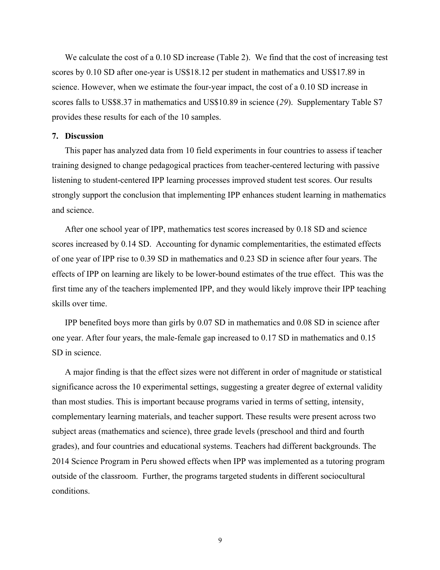We calculate the cost of a 0.10 SD increase (Table 2). We find that the cost of increasing test scores by 0.10 SD after one-year is US\$18.12 per student in mathematics and US\$17.89 in science. However, when we estimate the four-year impact, the cost of a 0.10 SD increase in scores falls to US\$8.37 in mathematics and US\$10.89 in science (*29*). Supplementary Table S7 provides these results for each of the 10 samples.

### **7. Discussion**

This paper has analyzed data from 10 field experiments in four countries to assess if teacher training designed to change pedagogical practices from teacher-centered lecturing with passive listening to student-centered IPP learning processes improved student test scores. Our results strongly support the conclusion that implementing IPP enhances student learning in mathematics and science.

After one school year of IPP, mathematics test scores increased by 0.18 SD and science scores increased by 0.14 SD. Accounting for dynamic complementarities, the estimated effects of one year of IPP rise to 0.39 SD in mathematics and 0.23 SD in science after four years. The effects of IPP on learning are likely to be lower-bound estimates of the true effect. This was the first time any of the teachers implemented IPP, and they would likely improve their IPP teaching skills over time.

IPP benefited boys more than girls by 0.07 SD in mathematics and 0.08 SD in science after one year. After four years, the male-female gap increased to 0.17 SD in mathematics and 0.15 SD in science.

A major finding is that the effect sizes were not different in order of magnitude or statistical significance across the 10 experimental settings, suggesting a greater degree of external validity than most studies. This is important because programs varied in terms of setting, intensity, complementary learning materials, and teacher support. These results were present across two subject areas (mathematics and science), three grade levels (preschool and third and fourth grades), and four countries and educational systems. Teachers had different backgrounds. The 2014 Science Program in Peru showed effects when IPP was implemented as a tutoring program outside of the classroom. Further, the programs targeted students in different sociocultural conditions.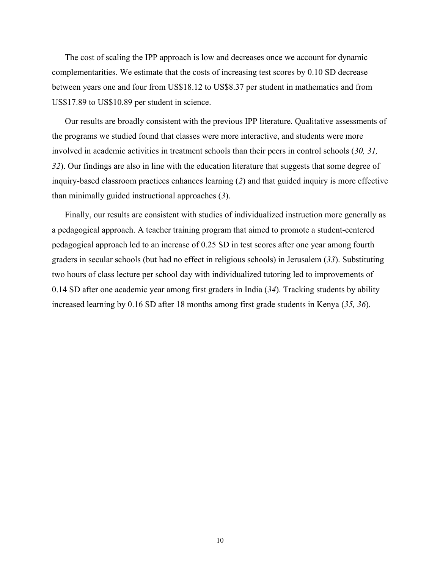The cost of scaling the IPP approach is low and decreases once we account for dynamic complementarities. We estimate that the costs of increasing test scores by 0.10 SD decrease between years one and four from US\$18.12 to US\$8.37 per student in mathematics and from US\$17.89 to US\$10.89 per student in science.

Our results are broadly consistent with the previous IPP literature. Qualitative assessments of the programs we studied found that classes were more interactive, and students were more involved in academic activities in treatment schools than their peers in control schools (*30, 31, 32*). Our findings are also in line with the education literature that suggests that some degree of inquiry-based classroom practices enhances learning (*2*) and that guided inquiry is more effective than minimally guided instructional approaches (*3*).

Finally, our results are consistent with studies of individualized instruction more generally as a pedagogical approach. A teacher training program that aimed to promote a student-centered pedagogical approach led to an increase of 0.25 SD in test scores after one year among fourth graders in secular schools (but had no effect in religious schools) in Jerusalem (*33*). Substituting two hours of class lecture per school day with individualized tutoring led to improvements of 0.14 SD after one academic year among first graders in India (*34*). Tracking students by ability increased learning by 0.16 SD after 18 months among first grade students in Kenya (*35, 36*).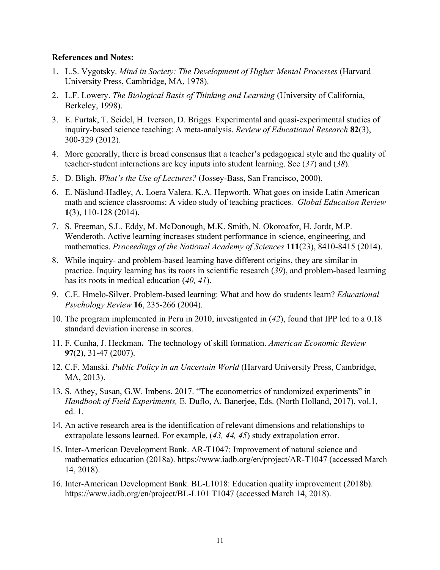### **References and Notes:**

- 1. L.S. Vygotsky. *Mind in Society: The Development of Higher Mental Processes* (Harvard University Press, Cambridge, MA, 1978).
- 2. L.F. Lowery. *The Biological Basis of Thinking and Learning* (University of California, Berkeley, 1998).
- 3. E. Furtak, T. Seidel, H. Iverson, D. Briggs. Experimental and quasi-experimental studies of inquiry-based science teaching: A meta-analysis. *Review of Educational Research* **82**(3), 300-329 (2012).
- 4. More generally, there is broad consensus that a teacher's pedagogical style and the quality of teacher-student interactions are key inputs into student learning. See (*37*) and (*38*).
- 5. D. Bligh. *What's the Use of Lectures?* (Jossey-Bass, San Francisco, 2000).
- 6. E. Näslund-Hadley, A. Loera Valera. K.A. Hepworth. What goes on inside Latin American math and science classrooms: A video study of teaching practices. *Global Education Review* **1**(3), 110-128 (2014).
- 7. S. Freeman, S.L. Eddy, M. McDonough, M.K. Smith, N. Okoroafor, H. Jordt, M.P. Wenderoth. Active learning increases student performance in science, engineering, and mathematics. *Proceedings of the National Academy of Sciences* **111**(23), 8410-8415 (2014).
- 8. While inquiry- and problem-based learning have different origins, they are similar in practice. Inquiry learning has its roots in scientific research (*39*), and problem-based learning has its roots in medical education (*40, 41*).
- 9. C.E. Hmelo-Silver. Problem-based learning: What and how do students learn? *Educational Psychology Review* **16**, 235-266 (2004).
- 10. The program implemented in Peru in 2010, investigated in (*42*), found that IPP led to a 0.18 standard deviation increase in scores.
- 11. F. Cunha, J. Heckman**.** The technology of skill formation. *American Economic Review* **97**(2), 31-47 (2007).
- 12. C.F. Manski. *Public Policy in an Uncertain World* (Harvard University Press, Cambridge, MA, 2013).
- 13. S. Athey, Susan, G.W. Imbens. 2017. "The econometrics of randomized experiments" in *Handbook of Field Experiments,* E. Duflo, A. Banerjee, Eds. (North Holland, 2017), vol.1, ed. 1.
- 14. An active research area is the identification of relevant dimensions and relationships to extrapolate lessons learned. For example, (*43, 44, 45*) study extrapolation error.
- 15. Inter-American Development Bank. AR-T1047: Improvement of natural science and mathematics education (2018a). https://www.iadb.org/en/project/AR-T1047 (accessed March 14, 2018).
- 16. Inter-American Development Bank. BL-L1018: Education quality improvement (2018b). https://www.iadb.org/en/project/BL-L101 T1047 (accessed March 14, 2018).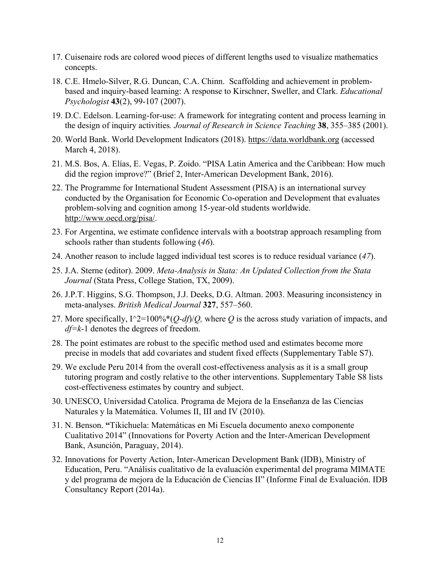- 17. Cuisenaire rods are colored wood pieces of different lengths used to visualize mathematics concepts.
- 18. C.E. Hmelo-Silver, R.G. Duncan, C.A. Chinn. Scaffolding and achievement in problembased and inquiry-based learning: A response to Kirschner, Sweller, and Clark. *Educational Psychologist* **43**(2), 99-107 (2007).
- 19. D.C. Edelson. Learning-for-use: A framework for integrating content and process learning in the design of inquiry activities*. Journal of Research in Science Teaching* **38**, 355–385 (2001).
- 20. World Bank. World Development Indicators (2018). https://data.worldbank.org (accessed March 4, 2018).
- 21. M.S. Bos, A. Elías, E. Vegas, P. Zoido. "PISA Latin America and the Caribbean: How much did the region improve?" (Brief 2, Inter-American Development Bank, 2016).
- 22. The Programme for International Student Assessment (PISA) is an international survey conducted by the Organisation for Economic Co-operation and Development that evaluates problem-solving and cognition among 15-year-old students worldwide. http://www.oecd.org/pisa/.
- 23. For Argentina, we estimate confidence intervals with a bootstrap approach resampling from schools rather than students following (*46*).
- 24. Another reason to include lagged individual test scores is to reduce residual variance (*47*).
- 25. J.A. Sterne (editor). 2009. *Meta-Analysis in Stata: An Updated Collection from the Stata Journal* (Stata Press, College Station, TX, 2009).
- 26. J.P.T. Higgins, S.G. Thompson, J.J. Deeks, D.G. Altman. 2003. Measuring inconsistency in meta-analyses. *British Medical Journal* **327**, 557–560.
- 27. More specifically, I^2=100%\*(*Q-df*)/*Q,* where *Q* is the across study variation of impacts, and *df=k*-1 denotes the degrees of freedom.
- 28. The point estimates are robust to the specific method used and estimates become more precise in models that add covariates and student fixed effects (Supplementary Table S7).
- 29. We exclude Peru 2014 from the overall cost-effectiveness analysis as it is a small group tutoring program and costly relative to the other interventions. Supplementary Table S8 lists cost-effectiveness estimates by country and subject.
- 30. UNESCO, Universidad Catolica. Programa de Mejora de la Enseñanza de las Ciencias Naturales y la Matemática. Volumes II, III and IV (2010).
- 31. N. Benson. **"**Tikichuela: Matemáticas en Mi Escuela documento anexo componente Cualitativo 2014" (Innovations for Poverty Action and the Inter-American Development Bank, Asunción, Paraguay, 2014).
- 32. Innovations for Poverty Action, Inter-American Development Bank (IDB), Ministry of Education, Peru. "Análisis cualitativo de la evaluación experimental del programa MIMATE y del programa de mejora de la Educación de Ciencias II" (Informe Final de Evaluación. IDB Consultancy Report (2014a).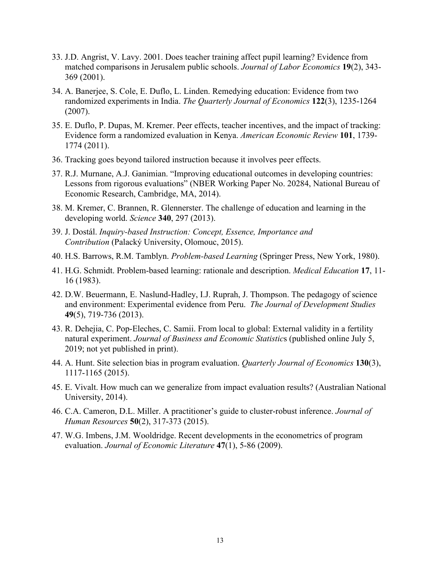- 33. J.D. Angrist, V. Lavy. 2001. Does teacher training affect pupil learning? Evidence from matched comparisons in Jerusalem public schools. *Journal of Labor Economics* **19**(2), 343- 369 (2001).
- 34. A. Banerjee, S. Cole, E. Duflo, L. Linden. Remedying education: Evidence from two randomized experiments in India. *The Quarterly Journal of Economics* **122**(3), 1235-1264 (2007).
- 35. E. Duflo, P. Dupas, M. Kremer. Peer effects, teacher incentives, and the impact of tracking: Evidence form a randomized evaluation in Kenya. *American Economic Review* **101**, 1739- 1774 (2011).
- 36. Tracking goes beyond tailored instruction because it involves peer effects.
- 37. R.J. Murnane, A.J. Ganimian. "Improving educational outcomes in developing countries: Lessons from rigorous evaluations" (NBER Working Paper No. 20284, National Bureau of Economic Research, Cambridge, MA, 2014).
- 38. M. Kremer, C. Brannen, R. Glennerster. The challenge of education and learning in the developing world. *Science* **340**, 297 (2013).
- 39. J. Dostál. *Inquiry-based Instruction: Concept, Essence, Importance and Contribution* (Palacký University, Olomouc, 2015).
- 40. H.S. Barrows, R.M. Tamblyn. *Problem-based Learning* (Springer Press, New York, 1980).
- 41. H.G. Schmidt. Problem‐based learning: rationale and description. *Medical Education* **17**, 11- 16 (1983).
- 42. D.W. Beuermann, E. Naslund-Hadley, I.J. Ruprah, J. Thompson. The pedagogy of science and environment: Experimental evidence from Peru. *The Journal of Development Studies* **49**(5), 719-736 (2013).
- 43. R. Dehejia, C. Pop-Eleches, C. Samii. From local to global: External validity in a fertility natural experiment. *Journal of Business and Economic Statistic*s (published online July 5, 2019; not yet published in print).
- 44. A. Hunt. Site selection bias in program evaluation. *Quarterly Journal of Economics* **130**(3), 1117-1165 (2015).
- 45. E. Vivalt. How much can we generalize from impact evaluation results? (Australian National University, 2014).
- 46. C.A. Cameron, D.L. Miller. A practitioner's guide to cluster-robust inference. *Journal of Human Resources* **50**(2), 317-373 (2015).
- 47. W.G. Imbens, J.M. Wooldridge. Recent developments in the econometrics of program evaluation. *Journal of Economic Literature* **47**(1), 5-86 (2009).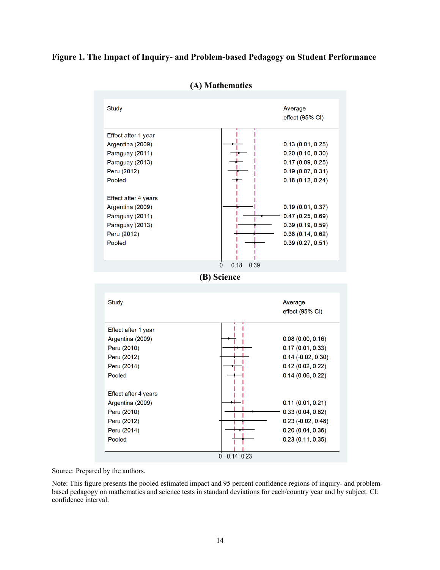## **Figure 1. The Impact of Inquiry- and Problem-based Pedagogy on Student Performance**



**(A) Mathematics**

Source: Prepared by the authors.

Note: This figure presents the pooled estimated impact and 95 percent confidence regions of inquiry- and problembased pedagogy on mathematics and science tests in standard deviations for each/country year and by subject. CI: confidence interval.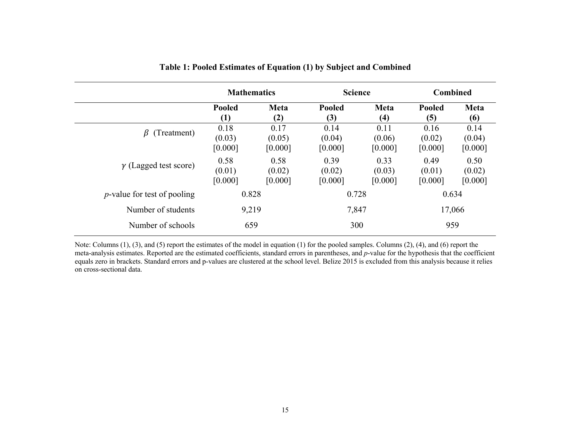|                                     | <b>Mathematics</b>        |                           | <b>Science</b>            |                           | <b>Combined</b>           |                           |
|-------------------------------------|---------------------------|---------------------------|---------------------------|---------------------------|---------------------------|---------------------------|
|                                     | <b>Pooled</b><br>(1)      | Meta<br>(2)               | Pooled<br>(3)             | <b>Meta</b><br>(4)        | Pooled<br>(5)             | Meta<br>(6)               |
| (Treatment)<br>$\beta$              | 0.18<br>(0.03)<br>[0.000] | 0.17<br>(0.05)<br>[0.000] | 0.14<br>(0.04)<br>[0.000] | 0.11<br>(0.06)<br>[0.000] | 0.16<br>(0.02)<br>[0.000] | 0.14<br>(0.04)<br>[0.000] |
| $\gamma$ (Lagged test score)        | 0.58<br>(0.01)<br>[0.000] | 0.58<br>(0.02)<br>[0.000] | 0.39<br>(0.02)<br>[0.000] | 0.33<br>(0.03)<br>[0.000] | 0.49<br>(0.01)<br>[0.000] | 0.50<br>(0.02)<br>[0.000] |
| <i>p</i> -value for test of pooling | 0.828                     |                           | 0.728                     |                           | 0.634                     |                           |
| Number of students                  | 9,219                     |                           | 7,847                     |                           |                           | 17,066                    |
| Number of schools                   | 659                       |                           | 300                       |                           | 959                       |                           |

**Table 1: Pooled Estimates of Equation (1) by Subject and Combined**

Note: Columns (1), (3), and (5) report the estimates of the model in equation (1) for the pooled samples. Columns (2), (4), and (6) report the meta-analysis estimates. Reported are the estimated coefficients, standard errors in parentheses, and *p*-value for the hypothesis that the coefficient equals zero in brackets. Standard errors and p-values are clustered at the school level. Belize 2015 is excluded from this analysis because it relies on cross-sectional data.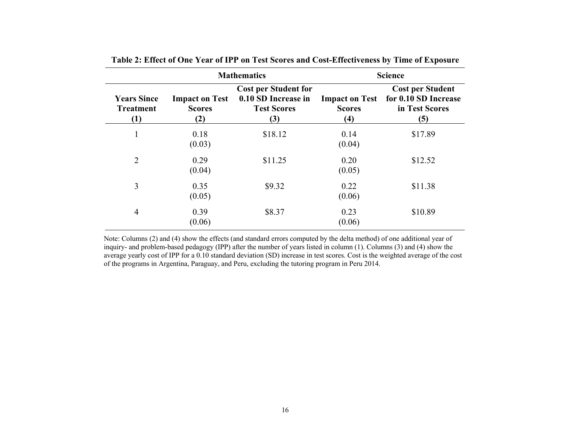|                                               | <b>Mathematics</b>                            | <b>Science</b>                                                                  |                                               |                                                                          |  |  |
|-----------------------------------------------|-----------------------------------------------|---------------------------------------------------------------------------------|-----------------------------------------------|--------------------------------------------------------------------------|--|--|
| <b>Years Since</b><br><b>Treatment</b><br>(1) | <b>Impact on Test</b><br><b>Scores</b><br>(2) | <b>Cost per Student for</b><br>0.10 SD Increase in<br><b>Test Scores</b><br>(3) | <b>Impact on Test</b><br><b>Scores</b><br>(4) | <b>Cost per Student</b><br>for 0.10 SD Increase<br>in Test Scores<br>(5) |  |  |
| $\mathbf{1}$                                  | 0.18<br>(0.03)                                | \$18.12                                                                         | 0.14<br>(0.04)                                | \$17.89                                                                  |  |  |
| $\overline{2}$                                | 0.29<br>(0.04)                                | \$11.25                                                                         | 0.20<br>(0.05)                                | \$12.52                                                                  |  |  |
| 3                                             | 0.35<br>(0.05)                                | \$9.32                                                                          | 0.22<br>(0.06)                                | \$11.38                                                                  |  |  |
| $\overline{4}$                                | 0.39<br>(0.06)                                | \$8.37                                                                          | 0.23<br>(0.06)                                | \$10.89                                                                  |  |  |

**Table 2: Effect of One Year of IPP on Test Scores and Cost-Effectiveness by Time of Exposure**

Note: Columns (2) and (4) show the effects (and standard errors computed by the delta method) of one additional year of inquiry- and problem-based pedagogy (IPP) after the number of years listed in column (1). Columns (3) and (4) show the average yearly cost of IPP for a 0.10 standard deviation (SD) increase in test scores. Cost is the weighted average of the cost of the programs in Argentina, Paraguay, and Peru, excluding the tutoring program in Peru 2014.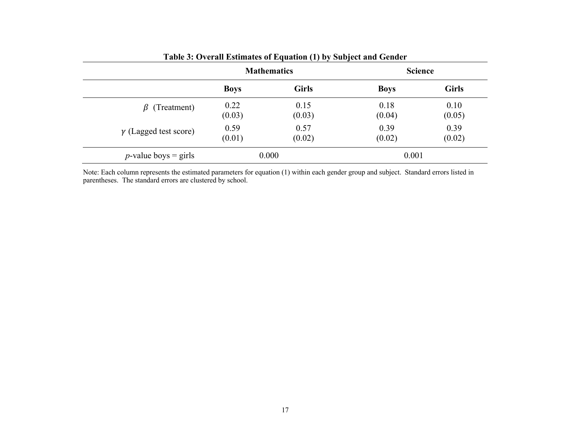|                              |             | <b>Mathematics</b> |             | <b>Science</b> |
|------------------------------|-------------|--------------------|-------------|----------------|
|                              | <b>Boys</b> | <b>Girls</b>       | <b>Boys</b> | <b>Girls</b>   |
| $\beta$ (Treatment)          | 0.22        | 0.15               | 0.18        | 0.10           |
|                              | (0.03)      | (0.03)             | (0.04)      | (0.05)         |
| $\gamma$ (Lagged test score) | 0.59        | 0.57               | 0.39        | 0.39           |
|                              | (0.01)      | (0.02)             | (0.02)      | (0.02)         |

Note: Each column represents the estimated parameters for equation (1) within each gender group and subject. Standard errors listed in parentheses. The standard errors are clustered by school.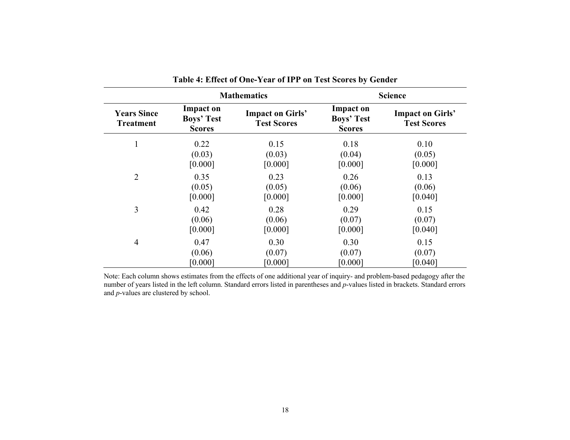|                                        |                                                        | <b>Mathematics</b>                            | <b>Science</b>                                         |                                               |  |
|----------------------------------------|--------------------------------------------------------|-----------------------------------------------|--------------------------------------------------------|-----------------------------------------------|--|
| <b>Years Since</b><br><b>Treatment</b> | <b>Impact on</b><br><b>Boys' Test</b><br><b>Scores</b> | <b>Impact on Girls'</b><br><b>Test Scores</b> | <b>Impact on</b><br><b>Boys' Test</b><br><b>Scores</b> | <b>Impact on Girls'</b><br><b>Test Scores</b> |  |
| $\mathbf{1}$                           | 0.22                                                   | 0.15                                          | 0.18                                                   | 0.10                                          |  |
|                                        | (0.03)                                                 | (0.03)                                        | (0.04)                                                 | (0.05)                                        |  |
|                                        | [0.000]                                                | [0.000]                                       | [0.000]                                                | [0.000]                                       |  |
| $\overline{2}$                         | 0.35                                                   | 0.23                                          | 0.26                                                   | 0.13                                          |  |
|                                        | (0.05)                                                 | (0.05)                                        | (0.06)                                                 | (0.06)                                        |  |
|                                        | [0.000]                                                | [0.000]                                       | [0.000]                                                | [0.040]                                       |  |
| 3                                      | 0.42                                                   | 0.28                                          | 0.29                                                   | 0.15                                          |  |
|                                        | (0.06)                                                 | (0.06)                                        | (0.07)                                                 | (0.07)                                        |  |
|                                        | [0.000]                                                | [0.000]                                       | [0.000]                                                | [0.040]                                       |  |
| $\overline{4}$                         | 0.47                                                   | 0.30                                          | 0.30                                                   | 0.15                                          |  |
|                                        | (0.06)                                                 | (0.07)                                        | (0.07)                                                 | (0.07)                                        |  |
|                                        | [0.000]                                                | [0.000]                                       | [0.000]                                                | [0.040]                                       |  |

**Table 4: Effect of One-Year of IPP on Test Scores by Gender** 

Note: Each column shows estimates from the effects of one additional year of inquiry- and problem-based pedagogy after the number of years listed in the left column. Standard errors listed in parentheses and *p*-values listed in brackets. Standard errors and *p*-values are clustered by school.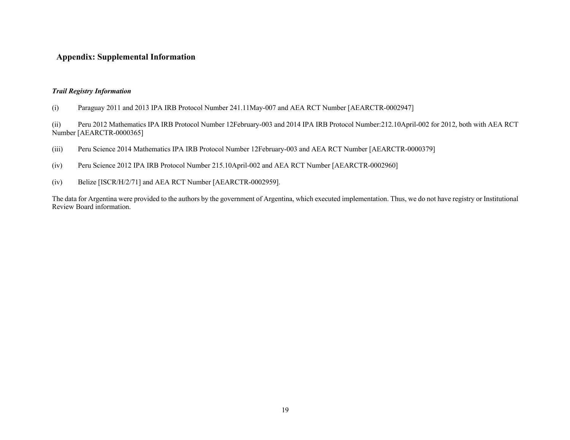## **Appendix: Supplemental Information**

#### *Trail Registry Information*

(i) Paraguay 2011 and 2013 IPA IRB Protocol Number 241.11May-007 and AEA RCT Number [AEARCTR-0002947]

(ii) Peru 2012 Mathematics IPA IRB Protocol Number 12February-003 and 2014 IPA IRB Protocol Number:212.10April-002 for 2012, both with AEA RCT Number [AEARCTR-0000365]

- (iii) Peru Science 2014 Mathematics IPA IRB Protocol Number 12February-003 and AEA RCT Number [AEARCTR-0000379]
- (iv) Peru Science 2012 IPA IRB Protocol Number 215.10April-002 and AEA RCT Number [AEARCTR-0002960]
- (iv) Belize [ISCR/H/2/71] and AEA RCT Number [AEARCTR-0002959].

The data for Argentina were provided to the authors by the government of Argentina, which executed implementation. Thus, we do not have registry or Institutional Review Board information.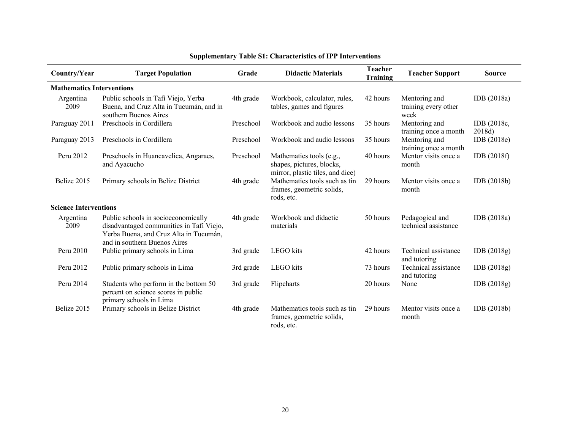| Country/Year                     | <b>Target Population</b>                                                                                                                                  | Grade     | <b>Didactic Materials</b>                                                                 | <b>Teacher</b><br>Training | <b>Teacher Support</b>                        | <b>Source</b>         |
|----------------------------------|-----------------------------------------------------------------------------------------------------------------------------------------------------------|-----------|-------------------------------------------------------------------------------------------|----------------------------|-----------------------------------------------|-----------------------|
| <b>Mathematics Interventions</b> |                                                                                                                                                           |           |                                                                                           |                            |                                               |                       |
| Argentina<br>2009                | Public schools in Tafí Viejo, Yerba<br>Buena, and Cruz Alta in Tucumán, and in<br>southern Buenos Aires                                                   | 4th grade | Workbook, calculator, rules,<br>tables, games and figures                                 | 42 hours                   | Mentoring and<br>training every other<br>week | IDB (2018a)           |
| Paraguay 2011                    | Preschools in Cordillera                                                                                                                                  | Preschool | Workbook and audio lessons                                                                | 35 hours                   | Mentoring and<br>training once a month        | IDB (2018c,<br>2018d) |
| Paraguay 2013                    | Preschools in Cordillera                                                                                                                                  | Preschool | Workbook and audio lessons                                                                | 35 hours                   | Mentoring and<br>training once a month        | IDB(2018e)            |
| Peru 2012                        | Preschools in Huancavelica, Angaraes,<br>and Ayacucho                                                                                                     | Preschool | Mathematics tools (e.g.,<br>shapes, pictures, blocks,<br>mirror, plastic tiles, and dice) | 40 hours                   | Mentor visits once a<br>month                 | IDB(2018f)            |
| Belize 2015                      | Primary schools in Belize District                                                                                                                        | 4th grade | Mathematics tools such as tin<br>frames, geometric solids,<br>rods, etc.                  | 29 hours                   | Mentor visits once a<br>month                 | IDB(2018b)            |
| <b>Science Interventions</b>     |                                                                                                                                                           |           |                                                                                           |                            |                                               |                       |
| Argentina<br>2009                | Public schools in socioeconomically<br>disadvantaged communities in Tafí Viejo,<br>Yerba Buena, and Cruz Alta in Tucumán,<br>and in southern Buenos Aires | 4th grade | Workbook and didactic<br>materials                                                        | 50 hours                   | Pedagogical and<br>technical assistance       | IDB (2018a)           |
| Peru 2010                        | Public primary schools in Lima                                                                                                                            | 3rd grade | LEGO kits                                                                                 | 42 hours                   | Technical assistance<br>and tutoring          | IDB(2018g)            |
| Peru 2012                        | Public primary schools in Lima                                                                                                                            | 3rd grade | LEGO kits                                                                                 | 73 hours                   | Technical assistance<br>and tutoring          | IDB(2018g)            |
| Peru 2014                        | Students who perform in the bottom 50<br>percent on science scores in public<br>primary schools in Lima                                                   | 3rd grade | Flipcharts                                                                                | 20 hours                   | None                                          | IDB(2018g)            |
| Belize 2015                      | Primary schools in Belize District                                                                                                                        | 4th grade | Mathematics tools such as tin<br>frames, geometric solids,<br>rods, etc.                  | 29 hours                   | Mentor visits once a<br>month                 | IDB(2018b)            |

# **Supplementary Table S1: Characteristics of IPP Interventions**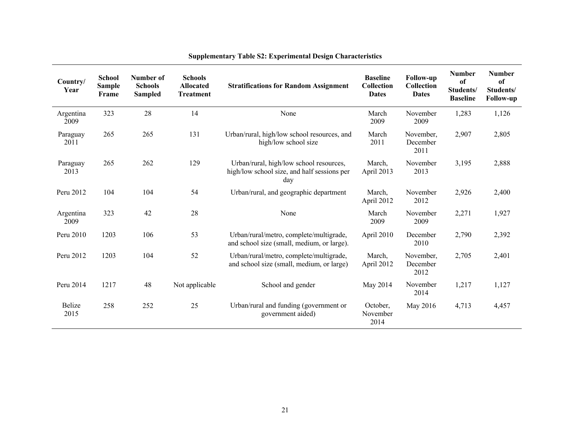| Country/<br>Year  | <b>School</b><br><b>Sample</b><br>Frame | Number of<br><b>Schools</b><br><b>Sampled</b> | <b>Schools</b><br><b>Allocated</b><br><b>Treatment</b> | <b>Stratifications for Random Assignment</b>                                                  | <b>Baseline</b><br>Collection<br><b>Dates</b> | <b>Follow-up</b><br>Collection<br><b>Dates</b> | <b>Number</b><br>of<br>Students/<br><b>Baseline</b> | <b>Number</b><br>of<br>Students/<br><b>Follow-up</b> |
|-------------------|-----------------------------------------|-----------------------------------------------|--------------------------------------------------------|-----------------------------------------------------------------------------------------------|-----------------------------------------------|------------------------------------------------|-----------------------------------------------------|------------------------------------------------------|
| Argentina<br>2009 | 323                                     | 28                                            | 14                                                     | None                                                                                          | March<br>2009                                 | November<br>2009                               | 1,283                                               | 1,126                                                |
| Paraguay<br>2011  | 265                                     | 265                                           | 131                                                    | Urban/rural, high/low school resources, and<br>high/low school size                           | March<br>2011                                 | November,<br>December<br>2011                  | 2,907                                               | 2,805                                                |
| Paraguay<br>2013  | 265                                     | 262                                           | 129                                                    | Urban/rural, high/low school resources,<br>high/low school size, and half sessions per<br>day | March,<br>April 2013                          | November<br>2013                               | 3,195                                               | 2,888                                                |
| Peru 2012         | 104                                     | 104                                           | 54                                                     | Urban/rural, and geographic department                                                        | March,<br>April 2012                          | November<br>2012                               | 2,926                                               | 2,400                                                |
| Argentina<br>2009 | 323                                     | 42                                            | 28                                                     | None                                                                                          | March<br>2009                                 | November<br>2009                               | 2,271                                               | 1,927                                                |
| Peru 2010         | 1203                                    | 106                                           | 53                                                     | Urban/rural/metro, complete/multigrade,<br>and school size (small, medium, or large).         | April 2010                                    | December<br>2010                               | 2,790                                               | 2,392                                                |
| Peru 2012         | 1203                                    | 104                                           | 52                                                     | Urban/rural/metro, complete/multigrade,<br>and school size (small, medium, or large)          | March,<br>April 2012                          | November,<br>December<br>2012                  | 2,705                                               | 2,401                                                |
| Peru 2014         | 1217                                    | 48                                            | Not applicable                                         | School and gender                                                                             | May 2014                                      | November<br>2014                               | 1,217                                               | 1,127                                                |
| Belize<br>2015    | 258                                     | 252                                           | 25                                                     | Urban/rural and funding (government or<br>government aided)                                   | October,<br>November<br>2014                  | May 2016                                       | 4,713                                               | 4,457                                                |

# **Supplementary Table S2: Experimental Design Characteristics**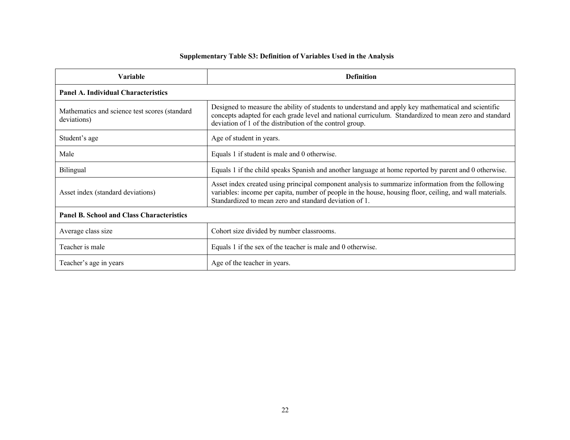# **Supplementary Table S3: Definition of Variables Used in the Analysis**

| <b>Variable</b>                                              | <b>Definition</b>                                                                                                                                                                                                                                                        |  |  |  |  |  |  |
|--------------------------------------------------------------|--------------------------------------------------------------------------------------------------------------------------------------------------------------------------------------------------------------------------------------------------------------------------|--|--|--|--|--|--|
| <b>Panel A. Individual Characteristics</b>                   |                                                                                                                                                                                                                                                                          |  |  |  |  |  |  |
| Mathematics and science test scores (standard<br>deviations) | Designed to measure the ability of students to understand and apply key mathematical and scientific<br>concepts adapted for each grade level and national curriculum. Standardized to mean zero and standard<br>deviation of 1 of the distribution of the control group. |  |  |  |  |  |  |
| Student's age                                                | Age of student in years.                                                                                                                                                                                                                                                 |  |  |  |  |  |  |
| Male                                                         | Equals 1 if student is male and 0 otherwise.                                                                                                                                                                                                                             |  |  |  |  |  |  |
| Bilingual                                                    | Equals 1 if the child speaks Spanish and another language at home reported by parent and 0 otherwise.                                                                                                                                                                    |  |  |  |  |  |  |
| Asset index (standard deviations)                            | Asset index created using principal component analysis to summarize information from the following<br>variables: income per capita, number of people in the house, housing floor, ceiling, and wall materials.<br>Standardized to mean zero and standard deviation of 1. |  |  |  |  |  |  |
| <b>Panel B. School and Class Characteristics</b>             |                                                                                                                                                                                                                                                                          |  |  |  |  |  |  |
| Average class size                                           | Cohort size divided by number classrooms.                                                                                                                                                                                                                                |  |  |  |  |  |  |
| Teacher is male                                              | Equals 1 if the sex of the teacher is male and 0 otherwise.                                                                                                                                                                                                              |  |  |  |  |  |  |
| Teacher's age in years                                       | Age of the teacher in years.                                                                                                                                                                                                                                             |  |  |  |  |  |  |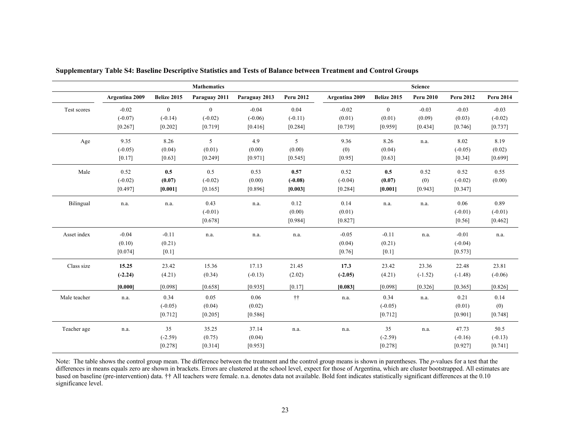|              |                |              | <b>Mathematics</b> |               |                  |                |                | Science          |                  |                  |
|--------------|----------------|--------------|--------------------|---------------|------------------|----------------|----------------|------------------|------------------|------------------|
|              | Argentina 2009 | Belize 2015  | Paraguay 2011      | Paraguay 2013 | <b>Peru 2012</b> | Argentina 2009 | Belize 2015    | <b>Peru 2010</b> | <b>Peru 2012</b> | <b>Peru 2014</b> |
| Test scores  | $-0.02$        | $\mathbf{0}$ | $\mathbf{0}$       | $-0.04$       | 0.04             | $-0.02$        | $\overline{0}$ | $-0.03$          | $-0.03$          | $-0.03$          |
|              | $(-0.07)$      | $(-0.14)$    | $(-0.02)$          | $(-0.06)$     | $(-0.11)$        | (0.01)         | (0.01)         | (0.09)           | (0.03)           | $(-0.02)$        |
|              | [0.267]        | [0.202]      | [0.719]            | [0.416]       | [0.284]          | [0.739]        | [0.959]        | [0.434]          | [0.746]          | [0.737]          |
| Age          | 9.35           | 8.26         | 5                  | 4.9           | 5                | 9.36           | 8.26           | n.a.             | 8.02             | 8.19             |
|              | $(-0.05)$      | (0.04)       | (0.01)             | (0.00)        | (0.00)           | (0)            | (0.04)         |                  | $(-0.05)$        | (0.02)           |
|              | $[0.17]$       | [0.63]       | [0.249]            | [0.971]       | [0.545]          | [0.95]         | [0.63]         |                  | $[0.34]$         | [0.699]          |
| Male         | 0.52           | 0.5          | 0.5                | 0.53          | 0.57             | 0.52           | 0.5            | 0.52             | 0.52             | 0.55             |
|              | $(-0.02)$      | (0.07)       | $(-0.02)$          | (0.00)        | $(-0.08)$        | $(-0.04)$      | (0.07)         | (0)              | $(-0.02)$        | (0.00)           |
|              | $[0.497]$      | [0.001]      | [0.165]            | [0.896]       | [0.003]          | [0.284]        | [0.001]        | [0.943]          | [0.347]          |                  |
| Bilingual    | n.a.           | n.a.         | 0.43               | n.a.          | 0.12             | 0.14           | n.a.           | n.a.             | 0.06             | 0.89             |
|              |                |              | $(-0.01)$          |               | (0.00)           | (0.01)         |                |                  | $(-0.01)$        | $(-0.01)$        |
|              |                |              | [0.678]            |               | [0.984]          | [0.827]        |                |                  | [0.56]           | [0.462]          |
| Asset index  | $-0.04$        | $-0.11$      | n.a.               | n.a.          | n.a.             | $-0.05$        | $-0.11$        | n.a.             | $-0.01$          | n.a.             |
|              | (0.10)         | (0.21)       |                    |               |                  | (0.04)         | (0.21)         |                  | $(-0.04)$        |                  |
|              | [0.074]        | $[0.1]$      |                    |               |                  | [0.76]         | $[0.1]$        |                  | [0.573]          |                  |
| Class size   | 15.25          | 23.42        | 15.36              | 17.13         | 21.45            | 17.3           | 23.42          | 23.36            | 22.48            | 23.81            |
|              | $(-2.24)$      | (4.21)       | (0.34)             | $(-0.13)$     | (2.02)           | $(-2.05)$      | (4.21)         | $(-1.52)$        | $(-1.48)$        | $(-0.06)$        |
|              | [0.000]        | [0.098]      | [0.658]            | [0.935]       | [0.17]           | [0.083]        | [0.098]        | [0.326]          | [0.365]          | [0.826]          |
| Male teacher | n.a.           | 0.34         | 0.05               | 0.06          | $\dagger\dagger$ | n.a.           | 0.34           | n.a.             | 0.21             | 0.14             |
|              |                | $(-0.05)$    | (0.04)             | (0.02)        |                  |                | $(-0.05)$      |                  | (0.01)           | (0)              |
|              |                | [0.712]      | [0.205]            | [0.586]       |                  |                | [0.712]        |                  | [0.901]          | [0.748]          |
| Teacher age  | n.a.           | 35           | 35.25              | 37.14         | n.a.             | n.a.           | 35             | n.a.             | 47.73            | 50.5             |
|              |                | $(-2.59)$    | (0.75)             | (0.04)        |                  |                | $(-2.59)$      |                  | $(-0.16)$        | $(-0.13)$        |
|              |                | [0.278]      | [0.314]            | [0.953]       |                  |                | [0.278]        |                  | [0.927]          | $[0.741]$        |

**Supplementary Table S4: Baseline Descriptive Statistics and Tests of Balance between Treatment and Control Groups**

Note: The table shows the control group mean. The difference between the treatment and the control group means is shown in parentheses. The *p*-values for a test that the differences in means equals zero are shown in brackets. Errors are clustered at the school level, expect for those of Argentina, which are cluster bootstrapped. All estimates are based on baseline (pre-intervention) data. †† All teachers were female. n.a. denotes data not available. Bold font indicates statistically significant differences at the 0.10 significance level.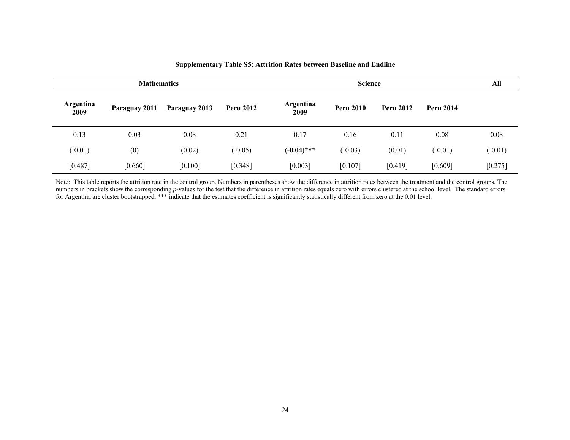|                   |               | <b>Science</b> |                  |                   |                  |                  |                  |           |
|-------------------|---------------|----------------|------------------|-------------------|------------------|------------------|------------------|-----------|
| Argentina<br>2009 | Paraguay 2011 | Paraguay 2013  | <b>Peru 2012</b> | Argentina<br>2009 | <b>Peru 2010</b> | <b>Peru 2012</b> | <b>Peru 2014</b> |           |
| 0.13              | 0.03          | 0.08           | 0.21             | 0.17              | 0.16             | 0.11             | 0.08             | 0.08      |
| $(-0.01)$         | (0)           | (0.02)         | $(-0.05)$        | $(-0.04)$ ***     | $(-0.03)$        | (0.01)           | $(-0.01)$        | $(-0.01)$ |
| [0.487]           | [0.660]       | [0.100]        | [0.348]          | [0.003]           | [0.107]          | [0.419]          | [0.609]          | [0.275]   |

#### **Supplementary Table S5: Attrition Rates between Baseline and Endline**

Note: This table reports the attrition rate in the control group. Numbers in parentheses show the difference in attrition rates between the treatment and the control groups. The numbers in brackets show the corresponding *p*-values for the test that the difference in attrition rates equals zero with errors clustered at the school level. The standard errors for Argentina are cluster bootstrapped. \*\*\* indicate that the estimates coefficient is significantly statistically different from zero at the 0.01 level.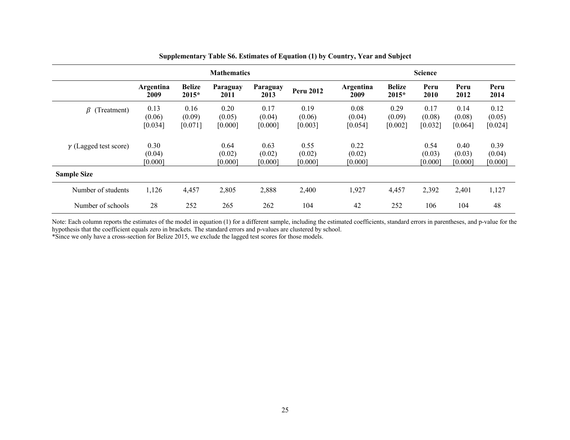|                              | <b>Mathematics</b>        |                           |                           |                           | <b>Science</b>            |                           |                           |                           |                           |                           |
|------------------------------|---------------------------|---------------------------|---------------------------|---------------------------|---------------------------|---------------------------|---------------------------|---------------------------|---------------------------|---------------------------|
|                              | Argentina<br>2009         | <b>Belize</b><br>$2015*$  | Paraguay<br>2011          | Paraguay<br>2013          | <b>Peru 2012</b>          | Argentina<br>2009         | <b>Belize</b><br>2015*    | Peru<br>2010              | Peru<br>2012              | Peru<br>2014              |
| $\beta$ (Treatment)          | 0.13<br>(0.06)<br>[0.034] | 0.16<br>(0.09)<br>[0.071] | 0.20<br>(0.05)<br>[0.000] | 0.17<br>(0.04)<br>[0.000] | 0.19<br>(0.06)<br>[0.003] | 0.08<br>(0.04)<br>[0.054] | 0.29<br>(0.09)<br>[0.002] | 0.17<br>(0.08)<br>[0.032] | 0.14<br>(0.08)<br>[0.064] | 0.12<br>(0.05)<br>[0.024] |
| $\gamma$ (Lagged test score) | 0.30<br>(0.04)<br>[0.000] |                           | 0.64<br>(0.02)<br>[0.000] | 0.63<br>(0.02)<br>[0.000] | 0.55<br>(0.02)<br>[0.000] | 0.22<br>(0.02)<br>[0.000] |                           | 0.54<br>(0.03)<br>[0.000] | 0.40<br>(0.03)<br>[0.000] | 0.39<br>(0.04)<br>[0.000] |
| <b>Sample Size</b>           |                           |                           |                           |                           |                           |                           |                           |                           |                           |                           |
| Number of students           | 1,126                     | 4,457                     | 2,805                     | 2,888                     | 2,400                     | 1,927                     | 4,457                     | 2,392                     | 2,401                     | 1,127                     |
| Number of schools            | 28                        | 252                       | 265                       | 262                       | 104                       | 42                        | 252                       | 106                       | 104                       | 48                        |

**Supplementary Table S6. Estimates of Equation (1) by Country, Year and Subject**

Note: Each column reports the estimates of the model in equation (1) for a different sample, including the estimated coefficients, standard errors in parentheses, and p-value for the hypothesis that the coefficient equals zero in brackets. The standard errors and p-values are clustered by school. \*Since we only have a cross-section for Belize 2015, we exclude the lagged test scores for those models.